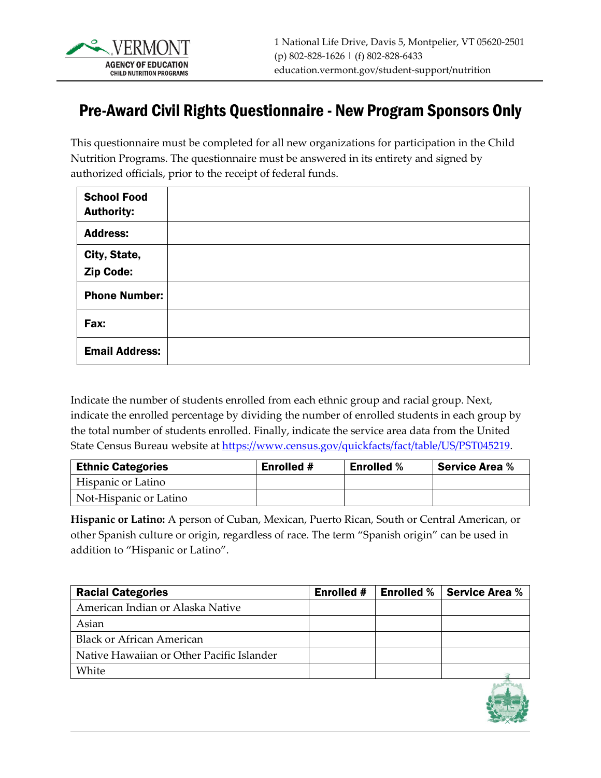

## Pre-Award Civil Rights Questionnaire - New Program Sponsors Only

This questionnaire must be completed for all new organizations for participation in the Child Nutrition Programs. The questionnaire must be answered in its entirety and signed by authorized officials, prior to the receipt of federal funds.

| <b>School Food</b><br><b>Authority:</b> |  |
|-----------------------------------------|--|
| <b>Address:</b>                         |  |
| City, State,<br>Zip Code:               |  |
| <b>Phone Number:</b>                    |  |
| Fax:                                    |  |
| <b>Email Address:</b>                   |  |

Indicate the number of students enrolled from each ethnic group and racial group. Next, indicate the enrolled percentage by dividing the number of enrolled students in each group by the total number of students enrolled. Finally, indicate the service area data from the United State Census Bureau website at [https://www.census.gov/quickfacts/fact/table/US/PST045219.](https://www.census.gov/quickfacts/fact/table/US/PST045219)

| <b>Ethnic Categories</b> | <b>Enrolled #</b> | <b>Enrolled %</b> | <b>Service Area %</b> |  |
|--------------------------|-------------------|-------------------|-----------------------|--|
| Hispanic or Latino       |                   |                   |                       |  |
| Not-Hispanic or Latino   |                   |                   |                       |  |

**Hispanic or Latino:** A person of Cuban, Mexican, Puerto Rican, South or Central American, or other Spanish culture or origin, regardless of race. The term "Spanish origin" can be used in addition to "Hispanic or Latino".

| <b>Racial Categories</b>                  | <b>Enrolled #</b> | <b>Enrolled %   Service Area %</b> |
|-------------------------------------------|-------------------|------------------------------------|
| American Indian or Alaska Native          |                   |                                    |
| Asian                                     |                   |                                    |
| <b>Black or African American</b>          |                   |                                    |
| Native Hawaiian or Other Pacific Islander |                   |                                    |
| White                                     |                   |                                    |

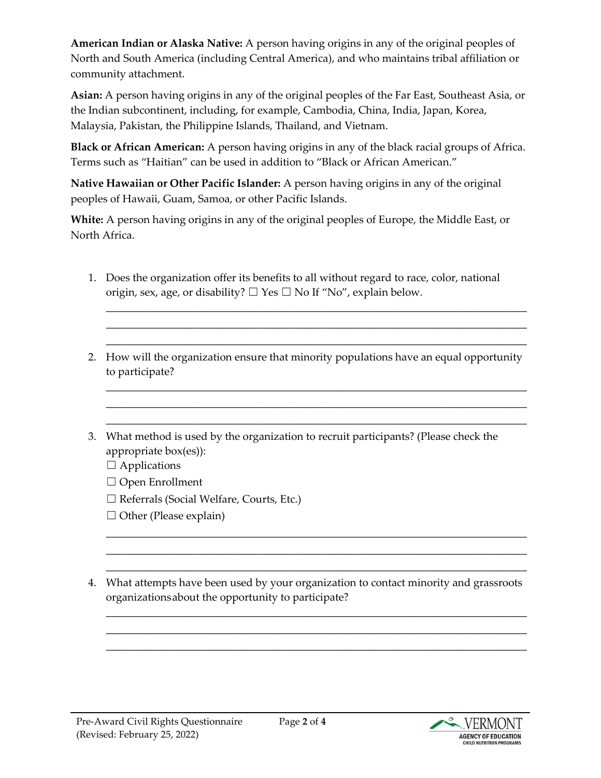**American Indian or Alaska Native:** A person having origins in any of the original peoples of North and South America (including Central America), and who maintains tribal affiliation or community attachment.

**Asian:** A person having origins in any of the original peoples of the Far East, Southeast Asia, or the Indian subcontinent, including, for example, Cambodia, China, India, Japan, Korea, Malaysia, Pakistan, the Philippine Islands, Thailand, and Vietnam.

**Black or African American:** A person having origins in any of the black racial groups of Africa. Terms such as "Haitian" can be used in addition to "Black or African American."

**Native Hawaiian or Other Pacific Islander:** A person having origins in any of the original peoples of Hawaii, Guam, Samoa, or other Pacific Islands.

**White:** A person having origins in any of the original peoples of Europe, the Middle East, or North Africa.

- 1. Does the organization offer its benefits to all without regard to race, color, national origin, sex, age, or disability?  $\Box$  Yes  $\Box$  No If "No", explain below.
- 2. How will the organization ensure that minority populations have an equal opportunity to participate?

\_\_\_\_\_\_\_\_\_\_\_\_\_\_\_\_\_\_\_\_\_\_\_\_\_\_\_\_\_\_\_\_\_\_\_\_\_\_\_\_\_\_\_\_\_\_\_\_\_\_\_\_\_\_\_\_\_\_\_\_\_\_\_\_\_\_\_\_\_\_\_\_\_\_\_\_\_\_ \_\_\_\_\_\_\_\_\_\_\_\_\_\_\_\_\_\_\_\_\_\_\_\_\_\_\_\_\_\_\_\_\_\_\_\_\_\_\_\_\_\_\_\_\_\_\_\_\_\_\_\_\_\_\_\_\_\_\_\_\_\_\_\_\_\_\_\_\_\_\_\_\_\_\_\_\_\_ \_\_\_\_\_\_\_\_\_\_\_\_\_\_\_\_\_\_\_\_\_\_\_\_\_\_\_\_\_\_\_\_\_\_\_\_\_\_\_\_\_\_\_\_\_\_\_\_\_\_\_\_\_\_\_\_\_\_\_\_\_\_\_\_\_\_\_\_\_\_\_\_\_\_\_\_\_\_

\_\_\_\_\_\_\_\_\_\_\_\_\_\_\_\_\_\_\_\_\_\_\_\_\_\_\_\_\_\_\_\_\_\_\_\_\_\_\_\_\_\_\_\_\_\_\_\_\_\_\_\_\_\_\_\_\_\_\_\_\_\_\_\_\_\_\_\_\_\_\_\_\_\_\_\_\_\_ \_\_\_\_\_\_\_\_\_\_\_\_\_\_\_\_\_\_\_\_\_\_\_\_\_\_\_\_\_\_\_\_\_\_\_\_\_\_\_\_\_\_\_\_\_\_\_\_\_\_\_\_\_\_\_\_\_\_\_\_\_\_\_\_\_\_\_\_\_\_\_\_\_\_\_\_\_\_ \_\_\_\_\_\_\_\_\_\_\_\_\_\_\_\_\_\_\_\_\_\_\_\_\_\_\_\_\_\_\_\_\_\_\_\_\_\_\_\_\_\_\_\_\_\_\_\_\_\_\_\_\_\_\_\_\_\_\_\_\_\_\_\_\_\_\_\_\_\_\_\_\_\_\_\_\_\_

- 3. What method is used by the organization to recruit participants? (Please check the appropriate box(es)):
	- $\Box$  Applications
	- ☐ Open Enrollment
	- ☐ Referrals (Social Welfare, Courts, Etc.)
	- $\Box$  Other (Please explain)
- 4. What attempts have been used by your organization to contact minority and grassroots organizationsabout the opportunity to participate?

\_\_\_\_\_\_\_\_\_\_\_\_\_\_\_\_\_\_\_\_\_\_\_\_\_\_\_\_\_\_\_\_\_\_\_\_\_\_\_\_\_\_\_\_\_\_\_\_\_\_\_\_\_\_\_\_\_\_\_\_\_\_\_\_\_\_\_\_\_\_\_\_\_\_\_\_\_\_ \_\_\_\_\_\_\_\_\_\_\_\_\_\_\_\_\_\_\_\_\_\_\_\_\_\_\_\_\_\_\_\_\_\_\_\_\_\_\_\_\_\_\_\_\_\_\_\_\_\_\_\_\_\_\_\_\_\_\_\_\_\_\_\_\_\_\_\_\_\_\_\_\_\_\_\_\_\_ \_\_\_\_\_\_\_\_\_\_\_\_\_\_\_\_\_\_\_\_\_\_\_\_\_\_\_\_\_\_\_\_\_\_\_\_\_\_\_\_\_\_\_\_\_\_\_\_\_\_\_\_\_\_\_\_\_\_\_\_\_\_\_\_\_\_\_\_\_\_\_\_\_\_\_\_\_\_

\_\_\_\_\_\_\_\_\_\_\_\_\_\_\_\_\_\_\_\_\_\_\_\_\_\_\_\_\_\_\_\_\_\_\_\_\_\_\_\_\_\_\_\_\_\_\_\_\_\_\_\_\_\_\_\_\_\_\_\_\_\_\_\_\_\_\_\_\_\_\_\_\_\_\_\_\_\_ \_\_\_\_\_\_\_\_\_\_\_\_\_\_\_\_\_\_\_\_\_\_\_\_\_\_\_\_\_\_\_\_\_\_\_\_\_\_\_\_\_\_\_\_\_\_\_\_\_\_\_\_\_\_\_\_\_\_\_\_\_\_\_\_\_\_\_\_\_\_\_\_\_\_\_\_\_\_ \_\_\_\_\_\_\_\_\_\_\_\_\_\_\_\_\_\_\_\_\_\_\_\_\_\_\_\_\_\_\_\_\_\_\_\_\_\_\_\_\_\_\_\_\_\_\_\_\_\_\_\_\_\_\_\_\_\_\_\_\_\_\_\_\_\_\_\_\_\_\_\_\_\_\_\_\_\_

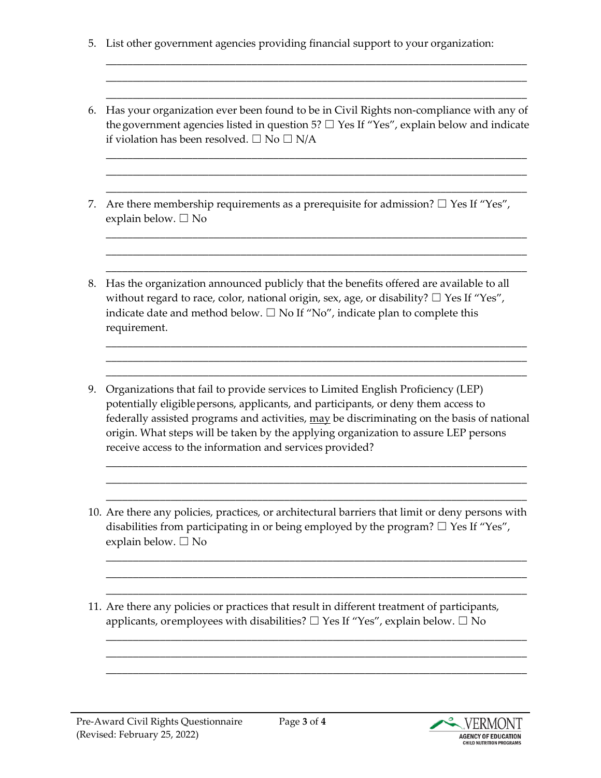- 5. List other government agencies providing financial support to your organization:
- 6. Has your organization ever been found to be in Civil Rights non-compliance with any of the government agencies listed in question 5?  $\Box$  Yes If "Yes", explain below and indicate if violation has been resolved.  $\square$  No  $\square$  N/A

\_\_\_\_\_\_\_\_\_\_\_\_\_\_\_\_\_\_\_\_\_\_\_\_\_\_\_\_\_\_\_\_\_\_\_\_\_\_\_\_\_\_\_\_\_\_\_\_\_\_\_\_\_\_\_\_\_\_\_\_\_\_\_\_\_\_\_\_\_\_\_\_\_\_\_\_\_\_ \_\_\_\_\_\_\_\_\_\_\_\_\_\_\_\_\_\_\_\_\_\_\_\_\_\_\_\_\_\_\_\_\_\_\_\_\_\_\_\_\_\_\_\_\_\_\_\_\_\_\_\_\_\_\_\_\_\_\_\_\_\_\_\_\_\_\_\_\_\_\_\_\_\_\_\_\_\_ \_\_\_\_\_\_\_\_\_\_\_\_\_\_\_\_\_\_\_\_\_\_\_\_\_\_\_\_\_\_\_\_\_\_\_\_\_\_\_\_\_\_\_\_\_\_\_\_\_\_\_\_\_\_\_\_\_\_\_\_\_\_\_\_\_\_\_\_\_\_\_\_\_\_\_\_\_\_

\_\_\_\_\_\_\_\_\_\_\_\_\_\_\_\_\_\_\_\_\_\_\_\_\_\_\_\_\_\_\_\_\_\_\_\_\_\_\_\_\_\_\_\_\_\_\_\_\_\_\_\_\_\_\_\_\_\_\_\_\_\_\_\_\_\_\_\_\_\_\_\_\_\_\_\_\_\_ \_\_\_\_\_\_\_\_\_\_\_\_\_\_\_\_\_\_\_\_\_\_\_\_\_\_\_\_\_\_\_\_\_\_\_\_\_\_\_\_\_\_\_\_\_\_\_\_\_\_\_\_\_\_\_\_\_\_\_\_\_\_\_\_\_\_\_\_\_\_\_\_\_\_\_\_\_\_ \_\_\_\_\_\_\_\_\_\_\_\_\_\_\_\_\_\_\_\_\_\_\_\_\_\_\_\_\_\_\_\_\_\_\_\_\_\_\_\_\_\_\_\_\_\_\_\_\_\_\_\_\_\_\_\_\_\_\_\_\_\_\_\_\_\_\_\_\_\_\_\_\_\_\_\_\_\_

\_\_\_\_\_\_\_\_\_\_\_\_\_\_\_\_\_\_\_\_\_\_\_\_\_\_\_\_\_\_\_\_\_\_\_\_\_\_\_\_\_\_\_\_\_\_\_\_\_\_\_\_\_\_\_\_\_\_\_\_\_\_\_\_\_\_\_\_\_\_\_\_\_\_\_\_\_\_ \_\_\_\_\_\_\_\_\_\_\_\_\_\_\_\_\_\_\_\_\_\_\_\_\_\_\_\_\_\_\_\_\_\_\_\_\_\_\_\_\_\_\_\_\_\_\_\_\_\_\_\_\_\_\_\_\_\_\_\_\_\_\_\_\_\_\_\_\_\_\_\_\_\_\_\_\_\_ \_\_\_\_\_\_\_\_\_\_\_\_\_\_\_\_\_\_\_\_\_\_\_\_\_\_\_\_\_\_\_\_\_\_\_\_\_\_\_\_\_\_\_\_\_\_\_\_\_\_\_\_\_\_\_\_\_\_\_\_\_\_\_\_\_\_\_\_\_\_\_\_\_\_\_\_\_\_

\_\_\_\_\_\_\_\_\_\_\_\_\_\_\_\_\_\_\_\_\_\_\_\_\_\_\_\_\_\_\_\_\_\_\_\_\_\_\_\_\_\_\_\_\_\_\_\_\_\_\_\_\_\_\_\_\_\_\_\_\_\_\_\_\_\_\_\_\_\_\_\_\_\_\_\_\_\_ \_\_\_\_\_\_\_\_\_\_\_\_\_\_\_\_\_\_\_\_\_\_\_\_\_\_\_\_\_\_\_\_\_\_\_\_\_\_\_\_\_\_\_\_\_\_\_\_\_\_\_\_\_\_\_\_\_\_\_\_\_\_\_\_\_\_\_\_\_\_\_\_\_\_\_\_\_\_ \_\_\_\_\_\_\_\_\_\_\_\_\_\_\_\_\_\_\_\_\_\_\_\_\_\_\_\_\_\_\_\_\_\_\_\_\_\_\_\_\_\_\_\_\_\_\_\_\_\_\_\_\_\_\_\_\_\_\_\_\_\_\_\_\_\_\_\_\_\_\_\_\_\_\_\_\_\_

- 7. Are there membership requirements as a prerequisite for admission?  $\Box$  Yes If "Yes", explain below. ☐ No
- 8. Has the organization announced publicly that the benefits offered are available to all without regard to race, color, national origin, sex, age, or disability?  $\Box$  Yes If "Yes", indicate date and method below.  $\Box$  No If "No", indicate plan to complete this requirement.
- 9. Organizations that fail to provide services to Limited English Proficiency (LEP) potentially eligible persons, applicants, and participants, or deny them access to federally assisted programs and activities, may be discriminating on the basis of national origin. What steps will be taken by the applying organization to assure LEP persons receive access to the information and services provided?

\_\_\_\_\_\_\_\_\_\_\_\_\_\_\_\_\_\_\_\_\_\_\_\_\_\_\_\_\_\_\_\_\_\_\_\_\_\_\_\_\_\_\_\_\_\_\_\_\_\_\_\_\_\_\_\_\_\_\_\_\_\_\_\_\_\_\_\_\_\_\_\_\_\_\_\_\_\_ \_\_\_\_\_\_\_\_\_\_\_\_\_\_\_\_\_\_\_\_\_\_\_\_\_\_\_\_\_\_\_\_\_\_\_\_\_\_\_\_\_\_\_\_\_\_\_\_\_\_\_\_\_\_\_\_\_\_\_\_\_\_\_\_\_\_\_\_\_\_\_\_\_\_\_\_\_\_ \_\_\_\_\_\_\_\_\_\_\_\_\_\_\_\_\_\_\_\_\_\_\_\_\_\_\_\_\_\_\_\_\_\_\_\_\_\_\_\_\_\_\_\_\_\_\_\_\_\_\_\_\_\_\_\_\_\_\_\_\_\_\_\_\_\_\_\_\_\_\_\_\_\_\_\_\_\_

10. Are there any policies, practices, or architectural barriers that limit or deny persons with disabilities from participating in or being employed by the program?  $\Box$  Yes If "Yes", explain below. ☐ No

\_\_\_\_\_\_\_\_\_\_\_\_\_\_\_\_\_\_\_\_\_\_\_\_\_\_\_\_\_\_\_\_\_\_\_\_\_\_\_\_\_\_\_\_\_\_\_\_\_\_\_\_\_\_\_\_\_\_\_\_\_\_\_\_\_\_\_\_\_\_\_\_\_\_\_\_\_\_ \_\_\_\_\_\_\_\_\_\_\_\_\_\_\_\_\_\_\_\_\_\_\_\_\_\_\_\_\_\_\_\_\_\_\_\_\_\_\_\_\_\_\_\_\_\_\_\_\_\_\_\_\_\_\_\_\_\_\_\_\_\_\_\_\_\_\_\_\_\_\_\_\_\_\_\_\_\_ \_\_\_\_\_\_\_\_\_\_\_\_\_\_\_\_\_\_\_\_\_\_\_\_\_\_\_\_\_\_\_\_\_\_\_\_\_\_\_\_\_\_\_\_\_\_\_\_\_\_\_\_\_\_\_\_\_\_\_\_\_\_\_\_\_\_\_\_\_\_\_\_\_\_\_\_\_\_

\_\_\_\_\_\_\_\_\_\_\_\_\_\_\_\_\_\_\_\_\_\_\_\_\_\_\_\_\_\_\_\_\_\_\_\_\_\_\_\_\_\_\_\_\_\_\_\_\_\_\_\_\_\_\_\_\_\_\_\_\_\_\_\_\_\_\_\_\_\_\_\_\_\_\_\_\_\_ \_\_\_\_\_\_\_\_\_\_\_\_\_\_\_\_\_\_\_\_\_\_\_\_\_\_\_\_\_\_\_\_\_\_\_\_\_\_\_\_\_\_\_\_\_\_\_\_\_\_\_\_\_\_\_\_\_\_\_\_\_\_\_\_\_\_\_\_\_\_\_\_\_\_\_\_\_\_ \_\_\_\_\_\_\_\_\_\_\_\_\_\_\_\_\_\_\_\_\_\_\_\_\_\_\_\_\_\_\_\_\_\_\_\_\_\_\_\_\_\_\_\_\_\_\_\_\_\_\_\_\_\_\_\_\_\_\_\_\_\_\_\_\_\_\_\_\_\_\_\_\_\_\_\_\_\_

11. Are there any policies or practices that result in different treatment of participants, applicants, or employees with disabilities?  $\Box$  Yes If "Yes", explain below.  $\Box$  No